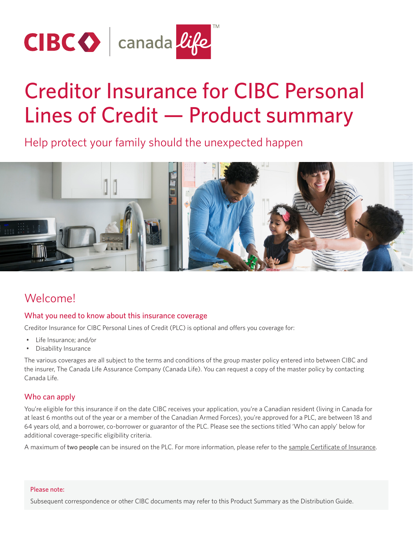

# Creditor Insurance for CIBC Personal Lines of Credit — Product summary

Help protect your family should the unexpected happen



# Welcome!

### What you need to know about this insurance coverage

Creditor Insurance for CIBC Personal Lines of Credit (PLC) is optional and offers you coverage for:

- Life Insurance; and/or
- Disability Insurance

The various coverages are all subject to the terms and conditions of the group master policy entered into between CIBC and the insurer, The Canada Life Assurance Company (Canada Life). You can request a copy of the master policy by contacting Canada Life.

#### Who can apply

You're eligible for this insurance if on the date CIBC receives your application, you're a Canadian resident (living in Canada for at least 6 months out of the year or a member of the Canadian Armed Forces), you're approved for a PLC, are between 18 and 64 years old, and a borrower, co-borrower or guarantor of the PLC. Please see the sections titled 'Who can apply' below for additional coverage-specific eligibility criteria.

A maximum of two people can be insured on the PLC. For more information, please refer to the [sample Certificate of Insurance](https://www.canadalife.com/insurance/creditor-insurance/distribution-guide-and-product-summary.html).

#### Please note:

Subsequent correspondence or other CIBC documents may refer to this Product Summary as the Distribution Guide.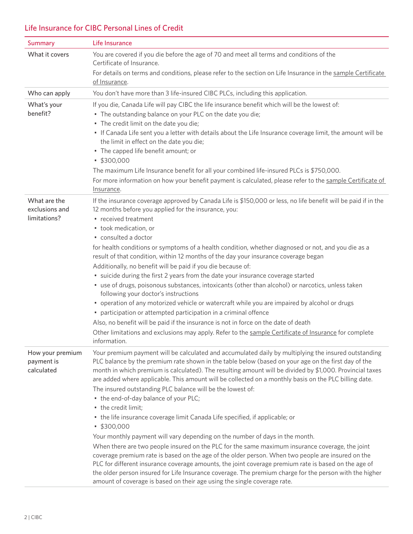# Life Insurance for CIBC Personal Lines of Credit

| <b>Summary</b>                                 | Life Insurance                                                                                                                                                                                                                                                                                                                                                                                                                                                                                                                                                                                                                                                                                                                                                                                                                                                                                                                                                                                                                                                                                                                                                                                                                                     |  |  |  |
|------------------------------------------------|----------------------------------------------------------------------------------------------------------------------------------------------------------------------------------------------------------------------------------------------------------------------------------------------------------------------------------------------------------------------------------------------------------------------------------------------------------------------------------------------------------------------------------------------------------------------------------------------------------------------------------------------------------------------------------------------------------------------------------------------------------------------------------------------------------------------------------------------------------------------------------------------------------------------------------------------------------------------------------------------------------------------------------------------------------------------------------------------------------------------------------------------------------------------------------------------------------------------------------------------------|--|--|--|
| What it covers                                 | You are covered if you die before the age of 70 and meet all terms and conditions of the<br>Certificate of Insurance.                                                                                                                                                                                                                                                                                                                                                                                                                                                                                                                                                                                                                                                                                                                                                                                                                                                                                                                                                                                                                                                                                                                              |  |  |  |
|                                                | For details on terms and conditions, please refer to the section on Life Insurance in the sample Certificate<br>of Insurance.                                                                                                                                                                                                                                                                                                                                                                                                                                                                                                                                                                                                                                                                                                                                                                                                                                                                                                                                                                                                                                                                                                                      |  |  |  |
| Who can apply                                  | You don't have more than 3 life-insured CIBC PLCs, including this application.                                                                                                                                                                                                                                                                                                                                                                                                                                                                                                                                                                                                                                                                                                                                                                                                                                                                                                                                                                                                                                                                                                                                                                     |  |  |  |
| What's your<br>benefit?                        | If you die, Canada Life will pay CIBC the life insurance benefit which will be the lowest of:<br>• The outstanding balance on your PLC on the date you die;<br>• The credit limit on the date you die;<br>• If Canada Life sent you a letter with details about the Life Insurance coverage limit, the amount will be<br>the limit in effect on the date you die;<br>• The capped life benefit amount; or<br>\$300,000<br>The maximum Life Insurance benefit for all your combined life-insured PLCs is \$750,000.<br>For more information on how your benefit payment is calculated, please refer to the sample Certificate of<br>Insurance.                                                                                                                                                                                                                                                                                                                                                                                                                                                                                                                                                                                                      |  |  |  |
| What are the<br>exclusions and<br>limitations? | If the insurance coverage approved by Canada Life is \$150,000 or less, no life benefit will be paid if in the<br>12 months before you applied for the insurance, you:<br>• received treatment<br>• took medication, or<br>· consulted a doctor<br>for health conditions or symptoms of a health condition, whether diagnosed or not, and you die as a<br>result of that condition, within 12 months of the day your insurance coverage began<br>Additionally, no benefit will be paid if you die because of:<br>• suicide during the first 2 years from the date your insurance coverage started<br>• use of drugs, poisonous substances, intoxicants (other than alcohol) or narcotics, unless taken<br>following your doctor's instructions<br>• operation of any motorized vehicle or watercraft while you are impaired by alcohol or drugs<br>• participation or attempted participation in a criminal offence<br>Also, no benefit will be paid if the insurance is not in force on the date of death<br>Other limitations and exclusions may apply. Refer to the sample Certificate of Insurance for complete<br>information.                                                                                                                |  |  |  |
| How your premium<br>payment is<br>calculated   | Your premium payment will be calculated and accumulated daily by multiplying the insured outstanding<br>PLC balance by the premium rate shown in the table below (based on your age on the first day of the<br>month in which premium is calculated). The resulting amount will be divided by \$1,000. Provincial taxes<br>are added where applicable. This amount will be collected on a monthly basis on the PLC billing date.<br>The insured outstanding PLC balance will be the lowest of:<br>• the end-of-day balance of your PLC;<br>• the credit limit;<br>• the life insurance coverage limit Canada Life specified, if applicable; or<br>\$300,000<br>Your monthly payment will vary depending on the number of days in the month.<br>When there are two people insured on the PLC for the same maximum insurance coverage, the joint<br>coverage premium rate is based on the age of the older person. When two people are insured on the<br>PLC for different insurance coverage amounts, the joint coverage premium rate is based on the age of<br>the older person insured for Life Insurance coverage. The premium charge for the person with the higher<br>amount of coverage is based on their age using the single coverage rate. |  |  |  |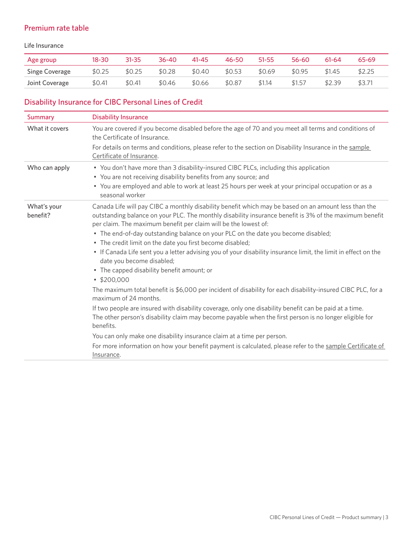## Premium rate table

#### Life Insurance

| Age group             | 18-30  | $31 - 35$ | 36-40  | $41 - 45$ | 46-50  | $51 - 55$ | 56-60  | $61 - 64$ | 65-69  |
|-----------------------|--------|-----------|--------|-----------|--------|-----------|--------|-----------|--------|
| <b>Singe Coverage</b> | \$0.25 | \$0.25    | \$0.28 | \$0.40    | \$0.53 | \$0.69    | \$0.95 | \$1.45    | \$2.25 |
| Joint Coverage        | \$0.41 | \$0.41    | \$0.46 | \$0.66    | \$0.87 | \$1.14    | \$1.57 | \$2.39    | \$3.71 |

# Disability Insurance for CIBC Personal Lines of Credit

| Summary                 | <b>Disability Insurance</b>                                                                                                                                                                                                                                                                                                                                                                                                                                                                                                                                                                                                                                                                                                                                                           |  |  |  |
|-------------------------|---------------------------------------------------------------------------------------------------------------------------------------------------------------------------------------------------------------------------------------------------------------------------------------------------------------------------------------------------------------------------------------------------------------------------------------------------------------------------------------------------------------------------------------------------------------------------------------------------------------------------------------------------------------------------------------------------------------------------------------------------------------------------------------|--|--|--|
| What it covers          | You are covered if you become disabled before the age of 70 and you meet all terms and conditions of<br>the Certificate of Insurance.                                                                                                                                                                                                                                                                                                                                                                                                                                                                                                                                                                                                                                                 |  |  |  |
|                         | For details on terms and conditions, please refer to the section on Disability Insurance in the sample<br>Certificate of Insurance.                                                                                                                                                                                                                                                                                                                                                                                                                                                                                                                                                                                                                                                   |  |  |  |
| Who can apply           | • You don't have more than 3 disability-insured CIBC PLCs, including this application<br>• You are not receiving disability benefits from any source; and<br>• You are employed and able to work at least 25 hours per week at your principal occupation or as a<br>seasonal worker                                                                                                                                                                                                                                                                                                                                                                                                                                                                                                   |  |  |  |
| What's your<br>benefit? | Canada Life will pay CIBC a monthly disability benefit which may be based on an amount less than the<br>outstanding balance on your PLC. The monthly disability insurance benefit is 3% of the maximum benefit<br>per claim. The maximum benefit per claim will be the lowest of:<br>• The end-of-day outstanding balance on your PLC on the date you become disabled;<br>• The credit limit on the date you first become disabled;<br>• If Canada Life sent you a letter advising you of your disability insurance limit, the limit in effect on the<br>date you become disabled;<br>• The capped disability benefit amount; or<br>\$200,000<br>The maximum total benefit is \$6,000 per incident of disability for each disability-insured CIBC PLC, for a<br>maximum of 24 months. |  |  |  |
|                         | If two people are insured with disability coverage, only one disability benefit can be paid at a time.<br>The other person's disability claim may become payable when the first person is no longer eligible for<br>benefits.<br>You can only make one disability insurance claim at a time per person.<br>For more information on how your benefit payment is calculated, please refer to the sample Certificate of                                                                                                                                                                                                                                                                                                                                                                  |  |  |  |
|                         | Insurance.                                                                                                                                                                                                                                                                                                                                                                                                                                                                                                                                                                                                                                                                                                                                                                            |  |  |  |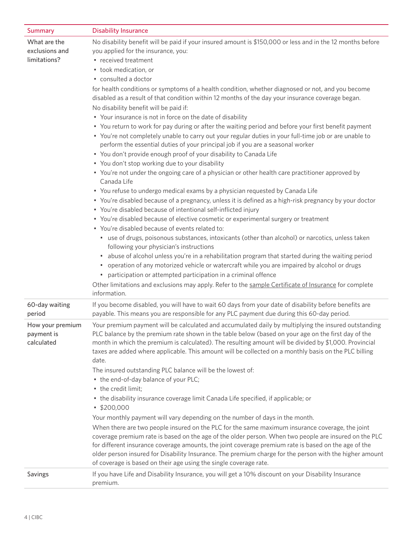| <b>Summary</b>                                 | <b>Disability Insurance</b>                                                                                                                                                                                                                                                                                                                                                                                                                                                                                                                                                                                                                                                                                                                                                                                                                        |  |  |  |
|------------------------------------------------|----------------------------------------------------------------------------------------------------------------------------------------------------------------------------------------------------------------------------------------------------------------------------------------------------------------------------------------------------------------------------------------------------------------------------------------------------------------------------------------------------------------------------------------------------------------------------------------------------------------------------------------------------------------------------------------------------------------------------------------------------------------------------------------------------------------------------------------------------|--|--|--|
| What are the<br>exclusions and<br>limitations? | No disability benefit will be paid if your insured amount is \$150,000 or less and in the 12 months before<br>you applied for the insurance, you:<br>• received treatment<br>• took medication, or<br>• consulted a doctor<br>for health conditions or symptoms of a health condition, whether diagnosed or not, and you become<br>disabled as a result of that condition within 12 months of the day your insurance coverage began.<br>No disability benefit will be paid if:<br>• Your insurance is not in force on the date of disability<br>• You return to work for pay during or after the waiting period and before your first benefit payment<br>. You're not completely unable to carry out your regular duties in your full-time job or are unable to<br>perform the essential duties of your principal job if you are a seasonal worker |  |  |  |
|                                                | • You don't provide enough proof of your disability to Canada Life<br>• You don't stop working due to your disability                                                                                                                                                                                                                                                                                                                                                                                                                                                                                                                                                                                                                                                                                                                              |  |  |  |
|                                                | • You're not under the ongoing care of a physician or other health care practitioner approved by<br>Canada Life                                                                                                                                                                                                                                                                                                                                                                                                                                                                                                                                                                                                                                                                                                                                    |  |  |  |
|                                                | • You refuse to undergo medical exams by a physician requested by Canada Life                                                                                                                                                                                                                                                                                                                                                                                                                                                                                                                                                                                                                                                                                                                                                                      |  |  |  |
|                                                | • You're disabled because of a pregnancy, unless it is defined as a high-risk pregnancy by your doctor<br>• You're disabled because of intentional self-inflicted injury                                                                                                                                                                                                                                                                                                                                                                                                                                                                                                                                                                                                                                                                           |  |  |  |
|                                                | • You're disabled because of elective cosmetic or experimental surgery or treatment                                                                                                                                                                                                                                                                                                                                                                                                                                                                                                                                                                                                                                                                                                                                                                |  |  |  |
|                                                | • You're disabled because of events related to:                                                                                                                                                                                                                                                                                                                                                                                                                                                                                                                                                                                                                                                                                                                                                                                                    |  |  |  |
|                                                | • use of drugs, poisonous substances, intoxicants (other than alcohol) or narcotics, unless taken<br>following your physician's instructions                                                                                                                                                                                                                                                                                                                                                                                                                                                                                                                                                                                                                                                                                                       |  |  |  |
|                                                | • abuse of alcohol unless you're in a rehabilitation program that started during the waiting period<br>operation of any motorized vehicle or watercraft while you are impaired by alcohol or drugs<br>٠<br>• participation or attempted participation in a criminal offence                                                                                                                                                                                                                                                                                                                                                                                                                                                                                                                                                                        |  |  |  |
|                                                | Other limitations and exclusions may apply. Refer to the sample Certificate of Insurance for complete<br>information.                                                                                                                                                                                                                                                                                                                                                                                                                                                                                                                                                                                                                                                                                                                              |  |  |  |
| 60-day waiting<br>period                       | If you become disabled, you will have to wait 60 days from your date of disability before benefits are<br>payable. This means you are responsible for any PLC payment due during this 60-day period.                                                                                                                                                                                                                                                                                                                                                                                                                                                                                                                                                                                                                                               |  |  |  |
| How your premium<br>payment is<br>calculated   | Your premium payment will be calculated and accumulated daily by multiplying the insured outstanding<br>PLC balance by the premium rate shown in the table below (based on your age on the first day of the<br>month in which the premium is calculated). The resulting amount will be divided by \$1,000. Provincial<br>taxes are added where applicable. This amount will be collected on a monthly basis on the PLC billing<br>date.                                                                                                                                                                                                                                                                                                                                                                                                            |  |  |  |
|                                                | The insured outstanding PLC balance will be the lowest of:<br>• the end-of-day balance of your PLC;<br>• the credit limit;                                                                                                                                                                                                                                                                                                                                                                                                                                                                                                                                                                                                                                                                                                                         |  |  |  |
|                                                | • the disability insurance coverage limit Canada Life specified, if applicable; or<br>\$200,000                                                                                                                                                                                                                                                                                                                                                                                                                                                                                                                                                                                                                                                                                                                                                    |  |  |  |
|                                                | Your monthly payment will vary depending on the number of days in the month.                                                                                                                                                                                                                                                                                                                                                                                                                                                                                                                                                                                                                                                                                                                                                                       |  |  |  |
|                                                | When there are two people insured on the PLC for the same maximum insurance coverage, the joint<br>coverage premium rate is based on the age of the older person. When two people are insured on the PLC<br>for different insurance coverage amounts, the joint coverage premium rate is based on the age of the<br>older person insured for Disability Insurance. The premium charge for the person with the higher amount<br>of coverage is based on their age using the single coverage rate.                                                                                                                                                                                                                                                                                                                                                   |  |  |  |
| Savings                                        | If you have Life and Disability Insurance, you will get a 10% discount on your Disability Insurance<br>premium.                                                                                                                                                                                                                                                                                                                                                                                                                                                                                                                                                                                                                                                                                                                                    |  |  |  |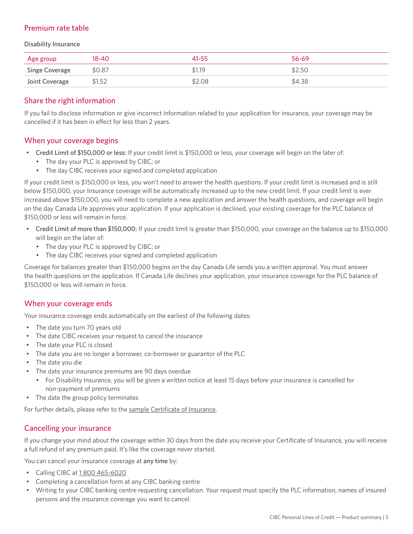## Premium rate table

Disability Insurance

| Age group             | 18-40  | $41 - 55$ | 56-69  |
|-----------------------|--------|-----------|--------|
| <b>Singe Coverage</b> | \$0.87 | \$1.19    | \$2.50 |
| Joint Coverage        | \$1.52 | \$2.08    | \$4.38 |

#### Share the right information

If you fail to disclose information or give incorrect information related to your application for insurance, your coverage may be cancelled if it has been in effect for less than 2 years.

#### When your coverage begins

- Credit Limit of \$150,000 or less: If your credit limit is \$150,000 or less, your coverage will begin on the later of:
	- The day your PLC is approved by CIBC; or
	- The day CIBC receives your signed and completed application

If your credit limit is \$150,000 or less, you won't need to answer the health questions. If your credit limit is increased and is still below \$150,000, your Insurance coverage will be automatically increased up to the new credit limit. If your credit limit is ever increased above \$150,000, you will need to complete a new application and answer the health questions, and coverage will begin on the day Canada Life approves your application. If your application is declined, your existing coverage for the PLC balance of \$150,000 or less will remain in force.

- Credit Limit of more than \$150,000: If your credit limit is greater than \$150,000, your coverage on the balance up to \$150,000 will begin on the later of:
	- The day your PLC is approved by CIBC; or
	- The day CIBC receives your signed and completed application

Coverage for balances greater than \$150,000 begins on the day Canada Life sends you a written approval. You must answer the health questions on the application. If Canada Life declines your application, your insurance coverage for the PLC balance of \$150,000 or less will remain in force.

#### When your coverage ends

Your insurance coverage ends automatically on the earliest of the following dates:

- The date you turn 70 years old
- The date CIBC receives your request to cancel the insurance
- The date your PLC is closed
- The date you are no longer a borrower, co-borrower or guarantor of the PLC
- The date you die
- The date your insurance premiums are 90 days overdue
	- For Disability Insurance, you will be given a written notice at least 15 days before your insurance is cancelled for non-payment of premiums
- The date the group policy terminates

For further details, please refer to the [sample Certificate of Insurance.](https://www.canadalife.com/insurance/creditor-insurance/distribution-guide-and-product-summary.html)

#### Cancelling your insurance

If you change your mind about the coverage within 30 days from the date you receive your Certificate of Insurance, you will receive a full refund of any premium paid. It's like the coverage never started.

You can cancel your insurance coverage at any time by:

- Calling CIBC at [1 800 465-6020](tel:18004656020)
- Completing a cancellation form at any CIBC banking centre
- Writing to your CIBC banking centre requesting cancellation. Your request must specify the PLC information, names of insured persons and the insurance coverage you want to cancel.